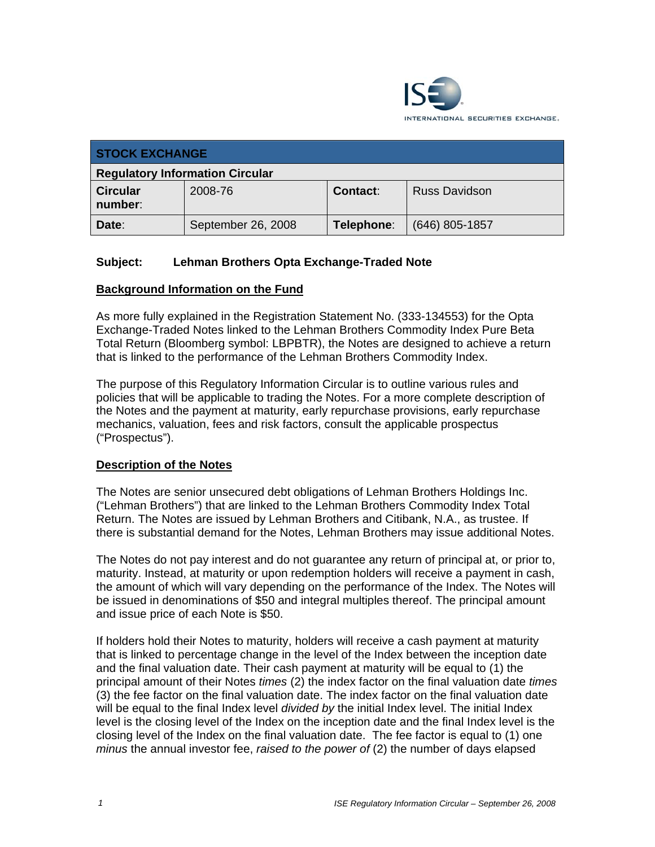

| <b>STOCK EXCHANGE</b>                  |                    |                 |                      |
|----------------------------------------|--------------------|-----------------|----------------------|
| <b>Regulatory Information Circular</b> |                    |                 |                      |
| <b>Circular</b><br>number:             | 2008-76            | <b>Contact:</b> | <b>Russ Davidson</b> |
| Date:                                  | September 26, 2008 | Telephone:      | $(646)$ 805-1857     |

# **Subject: Lehman Brothers Opta Exchange-Traded Note**

### **Background Information on the Fund**

As more fully explained in the Registration Statement No. (333-134553) for the Opta Exchange-Traded Notes linked to the Lehman Brothers Commodity Index Pure Beta Total Return (Bloomberg symbol: LBPBTR), the Notes are designed to achieve a return that is linked to the performance of the Lehman Brothers Commodity Index.

The purpose of this Regulatory Information Circular is to outline various rules and policies that will be applicable to trading the Notes. For a more complete description of the Notes and the payment at maturity, early repurchase provisions, early repurchase mechanics, valuation, fees and risk factors, consult the applicable prospectus ("Prospectus").

#### **Description of the Notes**

The Notes are senior unsecured debt obligations of Lehman Brothers Holdings Inc. ("Lehman Brothers") that are linked to the Lehman Brothers Commodity Index Total Return. The Notes are issued by Lehman Brothers and Citibank, N.A., as trustee. If there is substantial demand for the Notes, Lehman Brothers may issue additional Notes.

The Notes do not pay interest and do not guarantee any return of principal at, or prior to, maturity. Instead, at maturity or upon redemption holders will receive a payment in cash, the amount of which will vary depending on the performance of the Index. The Notes will be issued in denominations of \$50 and integral multiples thereof. The principal amount and issue price of each Note is \$50.

If holders hold their Notes to maturity, holders will receive a cash payment at maturity that is linked to percentage change in the level of the Index between the inception date and the final valuation date. Their cash payment at maturity will be equal to (1) the principal amount of their Notes *times* (2) the index factor on the final valuation date *times*  (3) the fee factor on the final valuation date. The index factor on the final valuation date will be equal to the final Index level *divided by* the initial Index level. The initial Index level is the closing level of the Index on the inception date and the final Index level is the closing level of the Index on the final valuation date. The fee factor is equal to (1) one *minus* the annual investor fee, *raised to the power of* (2) the number of days elapsed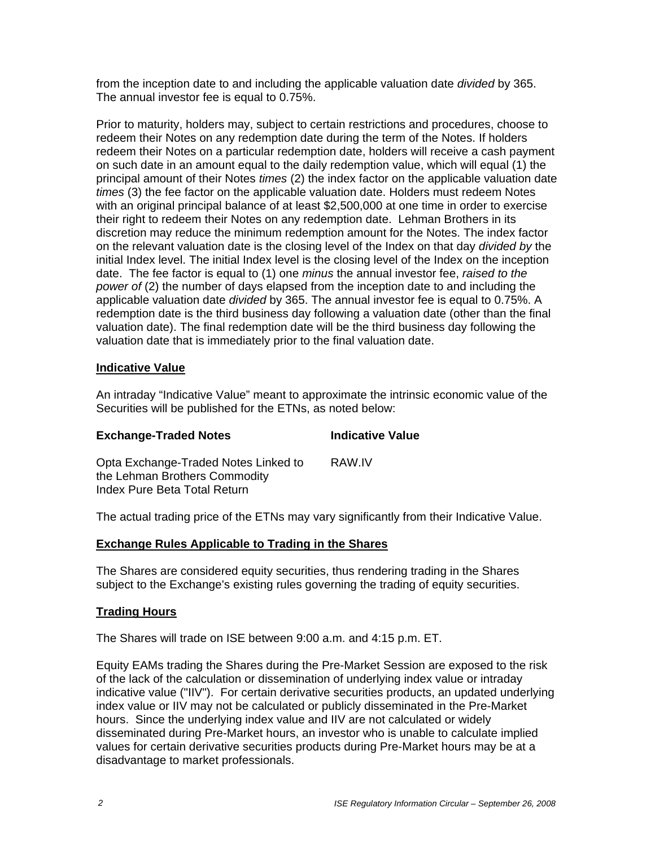from the inception date to and including the applicable valuation date *divided* by 365. The annual investor fee is equal to 0.75%.

Prior to maturity, holders may, subject to certain restrictions and procedures, choose to redeem their Notes on any redemption date during the term of the Notes. If holders redeem their Notes on a particular redemption date, holders will receive a cash payment on such date in an amount equal to the daily redemption value, which will equal (1) the principal amount of their Notes *times* (2) the index factor on the applicable valuation date *times* (3) the fee factor on the applicable valuation date. Holders must redeem Notes with an original principal balance of at least \$2,500,000 at one time in order to exercise their right to redeem their Notes on any redemption date. Lehman Brothers in its discretion may reduce the minimum redemption amount for the Notes. The index factor on the relevant valuation date is the closing level of the Index on that day *divided by* the initial Index level. The initial Index level is the closing level of the Index on the inception date. The fee factor is equal to (1) one *minus* the annual investor fee, *raised to the power of (2)* the number of days elapsed from the inception date to and including the applicable valuation date *divided* by 365. The annual investor fee is equal to 0.75%. A redemption date is the third business day following a valuation date (other than the final valuation date). The final redemption date will be the third business day following the valuation date that is immediately prior to the final valuation date.

### **Indicative Value**

An intraday "Indicative Value" meant to approximate the intrinsic economic value of the Securities will be published for the ETNs, as noted below:

## **Exchange-Traded Notes Indicative Value**

Opta Exchange-Traded Notes Linked to the Lehman Brothers Commodity Index Pure Beta Total Return RAW.IV

The actual trading price of the ETNs may vary significantly from their Indicative Value.

#### **Exchange Rules Applicable to Trading in the Shares**

The Shares are considered equity securities, thus rendering trading in the Shares subject to the Exchange's existing rules governing the trading of equity securities.

#### **Trading Hours**

The Shares will trade on ISE between 9:00 a.m. and 4:15 p.m. ET.

Equity EAMs trading the Shares during the Pre-Market Session are exposed to the risk of the lack of the calculation or dissemination of underlying index value or intraday indicative value ("IIV"). For certain derivative securities products, an updated underlying index value or IIV may not be calculated or publicly disseminated in the Pre-Market hours. Since the underlying index value and IIV are not calculated or widely disseminated during Pre-Market hours, an investor who is unable to calculate implied values for certain derivative securities products during Pre-Market hours may be at a disadvantage to market professionals.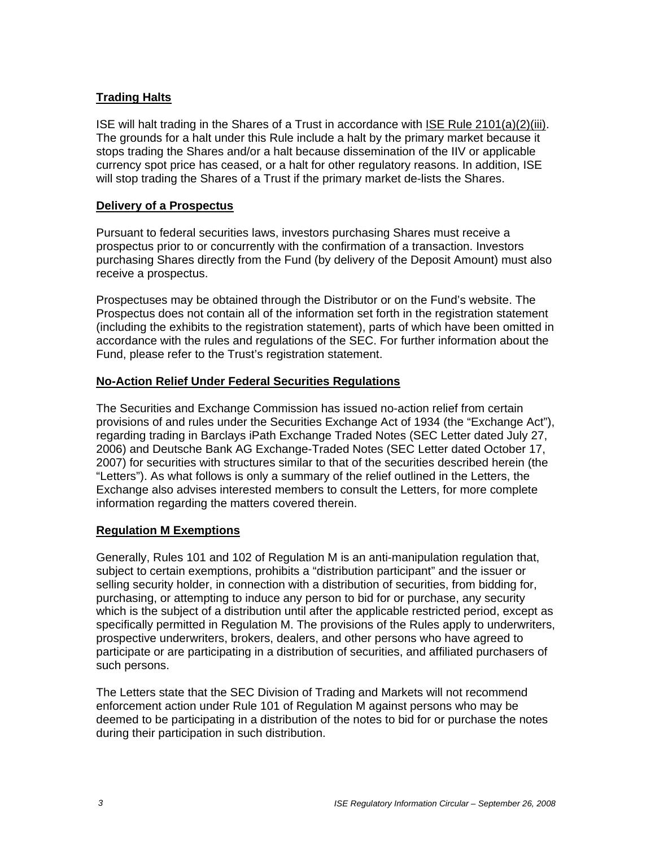## **Trading Halts**

ISE will halt trading in the Shares of a Trust in accordance with ISE Rule 2101(a)(2)(iii). The grounds for a halt under this Rule include a halt by the primary market because it stops trading the Shares and/or a halt because dissemination of the IIV or applicable currency spot price has ceased, or a halt for other regulatory reasons. In addition, ISE will stop trading the Shares of a Trust if the primary market de-lists the Shares.

## **Delivery of a Prospectus**

Pursuant to federal securities laws, investors purchasing Shares must receive a prospectus prior to or concurrently with the confirmation of a transaction. Investors purchasing Shares directly from the Fund (by delivery of the Deposit Amount) must also receive a prospectus.

Prospectuses may be obtained through the Distributor or on the Fund's website. The Prospectus does not contain all of the information set forth in the registration statement (including the exhibits to the registration statement), parts of which have been omitted in accordance with the rules and regulations of the SEC. For further information about the Fund, please refer to the Trust's registration statement.

# **No-Action Relief Under Federal Securities Regulations**

The Securities and Exchange Commission has issued no-action relief from certain provisions of and rules under the Securities Exchange Act of 1934 (the "Exchange Act"), regarding trading in Barclays iPath Exchange Traded Notes (SEC Letter dated July 27, 2006) and Deutsche Bank AG Exchange-Traded Notes (SEC Letter dated October 17, 2007) for securities with structures similar to that of the securities described herein (the "Letters"). As what follows is only a summary of the relief outlined in the Letters, the Exchange also advises interested members to consult the Letters, for more complete information regarding the matters covered therein.

## **Regulation M Exemptions**

Generally, Rules 101 and 102 of Regulation M is an anti-manipulation regulation that, subject to certain exemptions, prohibits a "distribution participant" and the issuer or selling security holder, in connection with a distribution of securities, from bidding for, purchasing, or attempting to induce any person to bid for or purchase, any security which is the subject of a distribution until after the applicable restricted period, except as specifically permitted in Regulation M. The provisions of the Rules apply to underwriters, prospective underwriters, brokers, dealers, and other persons who have agreed to participate or are participating in a distribution of securities, and affiliated purchasers of such persons.

The Letters state that the SEC Division of Trading and Markets will not recommend enforcement action under Rule 101 of Regulation M against persons who may be deemed to be participating in a distribution of the notes to bid for or purchase the notes during their participation in such distribution.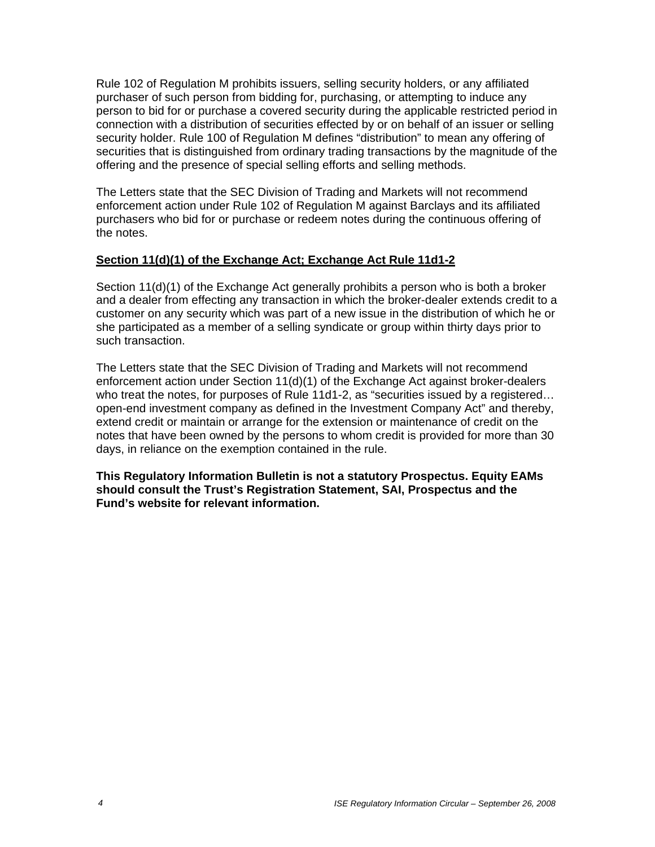Rule 102 of Regulation M prohibits issuers, selling security holders, or any affiliated purchaser of such person from bidding for, purchasing, or attempting to induce any person to bid for or purchase a covered security during the applicable restricted period in connection with a distribution of securities effected by or on behalf of an issuer or selling security holder. Rule 100 of Regulation M defines "distribution" to mean any offering of securities that is distinguished from ordinary trading transactions by the magnitude of the offering and the presence of special selling efforts and selling methods.

The Letters state that the SEC Division of Trading and Markets will not recommend enforcement action under Rule 102 of Regulation M against Barclays and its affiliated purchasers who bid for or purchase or redeem notes during the continuous offering of the notes.

# **Section 11(d)(1) of the Exchange Act; Exchange Act Rule 11d1-2**

Section 11(d)(1) of the Exchange Act generally prohibits a person who is both a broker and a dealer from effecting any transaction in which the broker-dealer extends credit to a customer on any security which was part of a new issue in the distribution of which he or she participated as a member of a selling syndicate or group within thirty days prior to such transaction.

The Letters state that the SEC Division of Trading and Markets will not recommend enforcement action under Section 11(d)(1) of the Exchange Act against broker-dealers who treat the notes, for purposes of Rule 11d1-2, as "securities issued by a registered… open-end investment company as defined in the Investment Company Act" and thereby, extend credit or maintain or arrange for the extension or maintenance of credit on the notes that have been owned by the persons to whom credit is provided for more than 30 days, in reliance on the exemption contained in the rule.

**This Regulatory Information Bulletin is not a statutory Prospectus. Equity EAMs should consult the Trust's Registration Statement, SAI, Prospectus and the Fund's website for relevant information.**